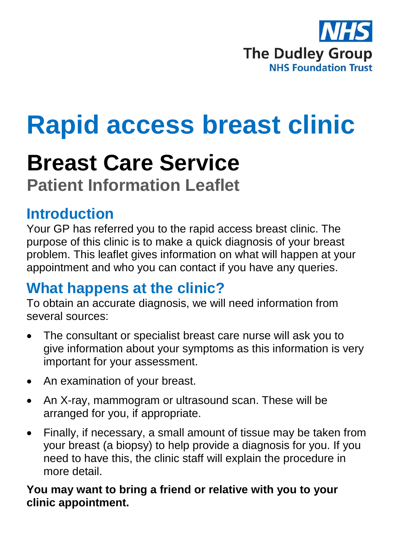

# **Rapid access breast clinic**

## **Breast Care Service**

**Patient Information Leaflet**

#### **Introduction**

Your GP has referred you to the rapid access breast clinic. The purpose of this clinic is to make a quick diagnosis of your breast problem. This leaflet gives information on what will happen at your appointment and who you can contact if you have any queries.

### **What happens at the clinic?**

To obtain an accurate diagnosis, we will need information from several sources:

- The consultant or specialist breast care nurse will ask you to give information about your symptoms as this information is very important for your assessment.
- An examination of your breast.
- An X-ray, mammogram or ultrasound scan. These will be arranged for you, if appropriate.
- Finally, if necessary, a small amount of tissue may be taken from your breast (a biopsy) to help provide a diagnosis for you. If you need to have this, the clinic staff will explain the procedure in more detail.

**You may want to bring a friend or relative with you to your clinic appointment.**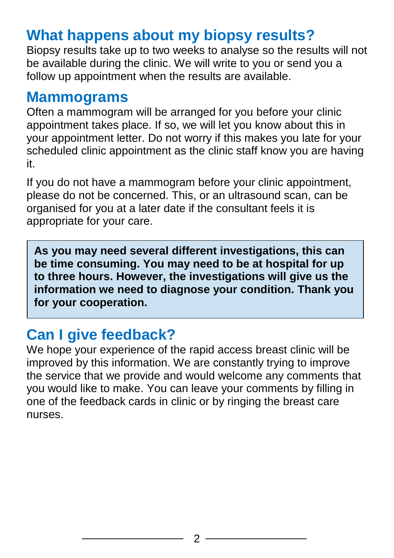### **What happens about my biopsy results?**

Biopsy results take up to two weeks to analyse so the results will not be available during the clinic. We will write to you or send you a follow up appointment when the results are available.

#### **Mammograms**

Often a mammogram will be arranged for you before your clinic appointment takes place. If so, we will let you know about this in your appointment letter. Do not worry if this makes you late for your scheduled clinic appointment as the clinic staff know you are having it.

If you do not have a mammogram before your clinic appointment, please do not be concerned. This, or an ultrasound scan, can be organised for you at a later date if the consultant feels it is appropriate for your care.

**As you may need several different investigations, this can be time consuming. You may need to be at hospital for up to three hours. However, the investigations will give us the information we need to diagnose your condition. Thank you for your cooperation.**

### **Can I give feedback?**

We hope your experience of the rapid access breast clinic will be improved by this information. We are constantly trying to improve the service that we provide and would welcome any comments that you would like to make. You can leave your comments by filling in one of the feedback cards in clinic or by ringing the breast care nurses.